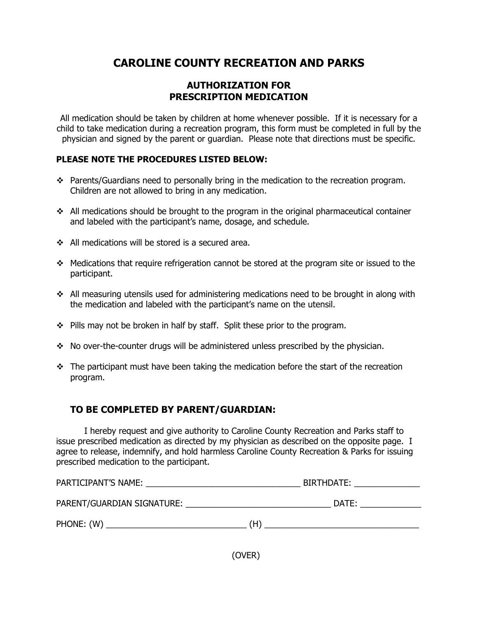# **CAROLINE COUNTY RECREATION AND PARKS**

## **AUTHORIZATION FOR PRESCRIPTION MEDICATION**

All medication should be taken by children at home whenever possible. If it is necessary for a child to take medication during a recreation program, this form must be completed in full by the physician and signed by the parent or guardian. Please note that directions must be specific.

#### **PLEASE NOTE THE PROCEDURES LISTED BELOW:**

- \* Parents/Guardians need to personally bring in the medication to the recreation program. Children are not allowed to bring in any medication.
- $\cdot$  All medications should be brought to the program in the original pharmaceutical container and labeled with the participant's name, dosage, and schedule.
- $\div$  All medications will be stored is a secured area.
- $\div$  Medications that require refrigeration cannot be stored at the program site or issued to the participant.
- $\div$  All measuring utensils used for administering medications need to be brought in along with the medication and labeled with the participant's name on the utensil.
- $\div$  Pills may not be broken in half by staff. Split these prior to the program.
- $\div$  No over-the-counter drugs will be administered unless prescribed by the physician.
- $\div$  The participant must have been taking the medication before the start of the recreation program.

# **TO BE COMPLETED BY PARENT/GUARDIAN:**

I hereby request and give authority to Caroline County Recreation and Parks staff to issue prescribed medication as directed by my physician as described on the opposite page. I agree to release, indemnify, and hold harmless Caroline County Recreation & Parks for issuing prescribed medication to the participant.

| PARTICIPANT'S NAME:<br><u> 1980 - John Stein, Amerikaansk konstantinopler († 1901)</u> | BIRTHDATE: ________________ |  |
|----------------------------------------------------------------------------------------|-----------------------------|--|
| PARENT/GUARDIAN SIGNATURE:                                                             | DATE:                       |  |
| PHONE: (W)<br><u> 1989 - Johann Barbara, martxa al-</u>                                | (H)                         |  |

(OVER)